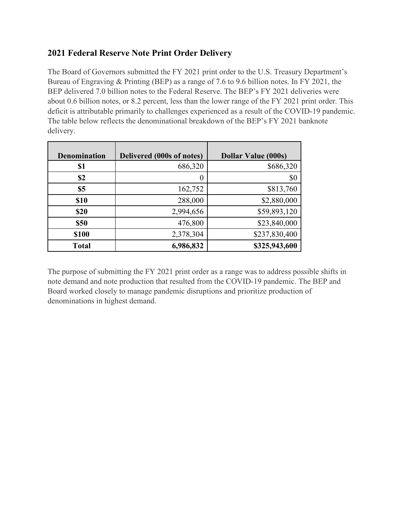## **2021 Federal Reserve Note Print Order Delivery**

The Board of Governors submitted the FY 2021 print order to the U.S. Treasury Department's Bureau of Engraving & Printing (BEP) as a range of 7.6 to 9.6 billion notes. In FY 2021, the BEP delivered 7.0 billion notes to the Federal Reserve. The BEP's FY 2021 deliveries were about 0.6 billion notes, or 8.2 percent, less than the lower range of the FY 2021 print order. This deficit is attributable primarily to challenges experienced as a result of the COVID-19 pandemic. The table below reflects the denominational breakdown of the BEP's FY 2021 banknote delivery.

| <b>Denomination</b> | Delivered (000s of notes) | <b>Dollar Value (000s)</b> |
|---------------------|---------------------------|----------------------------|
| \$1                 | 686,320                   | \$686,320                  |
| \$2                 | $\theta$                  | \$0                        |
| \$5                 | 162,752                   | \$813,760                  |
| <b>\$10</b>         | 288,000                   | \$2,880,000                |
| \$20                | 2,994,656                 | \$59,893,120               |
| <b>\$50</b>         | 476,800                   | \$23,840,000               |
| \$100               | 2,378,304                 | \$237,830,400              |
| <b>Total</b>        | 6,986,832                 | \$325,943,600              |

The purpose of submitting the FY 2021 print order as a range was to address possible shifts in note demand and note production that resulted from the COVID-19 pandemic. The BEP and Board worked closely to manage pandemic disruptions and prioritize production of denominations in highest demand.